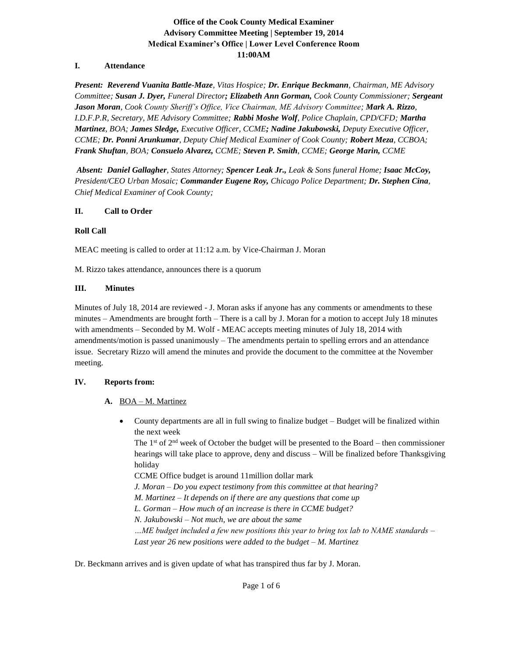# **Office of the Cook County Medical Examiner Advisory Committee Meeting | September 19, 2014 Medical Examiner's Office | Lower Level Conference Room 11:00AM**

## **I. Attendance**

*Present: Reverend Vuanita Battle-Maze, Vitas Hospice; Dr. Enrique Beckmann, Chairman, ME Advisory Committee; Susan J. Dyer, Funeral Director; Elizabeth Ann Gorman, Cook County Commissioner; Sergeant Jason Moran, Cook County Sheriff's Office, Vice Chairman, ME Advisory Committee; Mark A. Rizzo, I.D.F.P.R, Secretary, ME Advisory Committee; Rabbi Moshe Wolf, Police Chaplain, CPD/CFD; Martha Martinez, BOA; James Sledge, Executive Officer, CCME; Nadine Jakubowski, Deputy Executive Officer, CCME; Dr. Ponni Arunkumar, Deputy Chief Medical Examiner of Cook County; Robert Meza, CCBOA; Frank Shuftan, BOA; Consuelo Alvarez, CCME; Steven P. Smith, CCME; George Marin, CCME*

*Absent: Daniel Gallagher, States Attorney; Spencer Leak Jr., Leak & Sons funeral Home; Isaac McCoy, President/CEO Urban Mosaic; Commander Eugene Roy, Chicago Police Department; Dr. Stephen Cina, Chief Medical Examiner of Cook County;*

## **II. Call to Order**

## **Roll Call**

MEAC meeting is called to order at 11:12 a.m. by Vice-Chairman J. Moran

M. Rizzo takes attendance, announces there is a quorum

## **III. Minutes**

Minutes of July 18, 2014 are reviewed - J. Moran asks if anyone has any comments or amendments to these minutes – Amendments are brought forth – There is a call by J. Moran for a motion to accept July 18 minutes with amendments – Seconded by M. Wolf - MEAC accepts meeting minutes of July 18, 2014 with amendments/motion is passed unanimously – The amendments pertain to spelling errors and an attendance issue. Secretary Rizzo will amend the minutes and provide the document to the committee at the November meeting.

## **IV. Reports from:**

- **A.** BOA M. Martinez
	- County departments are all in full swing to finalize budget Budget will be finalized within the next week

The  $1<sup>st</sup>$  of 2<sup>nd</sup> week of October the budget will be presented to the Board – then commissioner hearings will take place to approve, deny and discuss – Will be finalized before Thanksgiving holiday

CCME Office budget is around 11million dollar mark

*J. Moran – Do you expect testimony from this committee at that hearing?* 

*M. Martinez – It depends on if there are any questions that come up* 

*L. Gorman – How much of an increase is there in CCME budget?*

*N. Jakubowski – Not much, we are about the same*

*…ME budget included a few new positions this year to bring tox lab to NAME standards – Last year 26 new positions were added to the budget – M. Martinez*

Dr. Beckmann arrives and is given update of what has transpired thus far by J. Moran.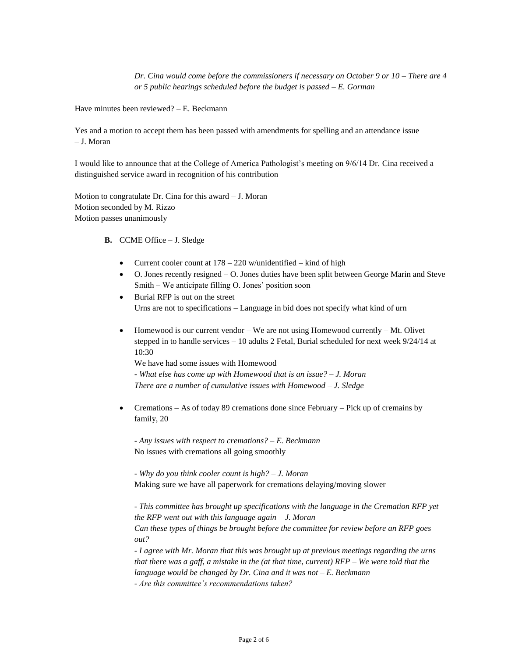*Dr. Cina would come before the commissioners if necessary on October 9 or 10 – There are 4 or 5 public hearings scheduled before the budget is passed – E. Gorman*

Have minutes been reviewed? – E. Beckmann

Yes and a motion to accept them has been passed with amendments for spelling and an attendance issue – J. Moran

I would like to announce that at the College of America Pathologist's meeting on 9/6/14 Dr. Cina received a distinguished service award in recognition of his contribution

Motion to congratulate Dr. Cina for this award – J. Moran Motion seconded by M. Rizzo Motion passes unanimously

- **B.** CCME Office J. Sledge
	- Current cooler count at  $178 220$  w/unidentified kind of high
	- O. Jones recently resigned O. Jones duties have been split between George Marin and Steve Smith – We anticipate filling O. Jones' position soon
	- Burial RFP is out on the street Urns are not to specifications – Language in bid does not specify what kind of urn
	- Homewood is our current vendor We are not using Homewood currently Mt. Olivet stepped in to handle services – 10 adults 2 Fetal, Burial scheduled for next week 9/24/14 at 10:30

We have had some issues with Homewood

*- What else has come up with Homewood that is an issue? – J. Moran There are a number of cumulative issues with Homewood – J. Sledge*

• Cremations – As of today 89 cremations done since February – Pick up of cremains by family, 20

*- Any issues with respect to cremations? – E. Beckmann* No issues with cremations all going smoothly

*- Why do you think cooler count is high? – J. Moran* Making sure we have all paperwork for cremations delaying/moving slower

*- This committee has brought up specifications with the language in the Cremation RFP yet the RFP went out with this language again – J. Moran Can these types of things be brought before the committee for review before an RFP goes out?*

*- I agree with Mr. Moran that this was brought up at previous meetings regarding the urns that there was a gaff, a mistake in the (at that time, current) RFP – We were told that the language would be changed by Dr. Cina and it was not – E. Beckmann*

*- Are this committee's recommendations taken?*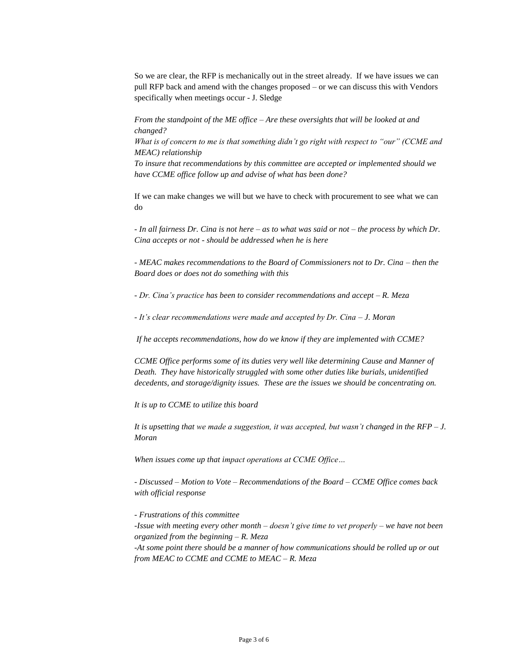So we are clear, the RFP is mechanically out in the street already. If we have issues we can pull RFP back and amend with the changes proposed – or we can discuss this with Vendors specifically when meetings occur - J. Sledge

*From the standpoint of the ME office – Are these oversights that will be looked at and changed? What is of concern to me is that something didn't go right with respect to "our" (CCME and MEAC) relationship*

*To insure that recommendations by this committee are accepted or implemented should we have CCME office follow up and advise of what has been done?*

If we can make changes we will but we have to check with procurement to see what we can do

*- In all fairness Dr. Cina is not here – as to what was said or not – the process by which Dr. Cina accepts or not - should be addressed when he is here* 

*- MEAC makes recommendations to the Board of Commissioners not to Dr. Cina – then the Board does or does not do something with this*

*- Dr. Cina's practice has been to consider recommendations and accept – R. Meza*

*- It's clear recommendations were made and accepted by Dr. Cina – J. Moran*

*If he accepts recommendations, how do we know if they are implemented with CCME?*

*CCME Office performs some of its duties very well like determining Cause and Manner of Death. They have historically struggled with some other duties like burials, unidentified decedents, and storage/dignity issues. These are the issues we should be concentrating on.* 

*It is up to CCME to utilize this board*

*It is upsetting that we made a suggestion, it was accepted, but wasn't changed in the RFP – J. Moran*

*When issues come up that impact operations at CCME Office…*

*- Discussed – Motion to Vote – Recommendations of the Board – CCME Office comes back with official response*

*- Frustrations of this committee -Issue with meeting every other month – doesn't give time to vet properly – we have not been organized from the beginning – R. Meza -At some point there should be a manner of how communications should be rolled up or out from MEAC to CCME and CCME to MEAC – R. Meza*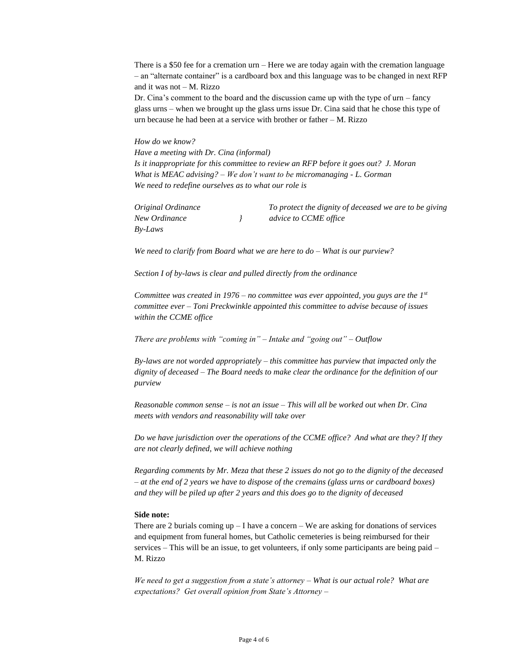There is a \$50 fee for a cremation urn – Here we are today again with the cremation language – an "alternate container" is a cardboard box and this language was to be changed in next RFP and it was not – M. Rizzo

Dr. Cina's comment to the board and the discussion came up with the type of  $urn - fancy$ glass urns – when we brought up the glass urns issue Dr. Cina said that he chose this type of urn because he had been at a service with brother or father – M. Rizzo

*How do we know?* 

*Have a meeting with Dr. Cina (informal) Is it inappropriate for this committee to review an RFP before it goes out? J. Moran What is MEAC advising? – We don't want to be micromanaging - L. Gorman We need to redefine ourselves as to what our role is* 

| Original Ordinance | To protect the dignity of deceased we are to be giving |
|--------------------|--------------------------------------------------------|
| New Ordinance      | <i>advice to CCME office</i>                           |
| Bv-Laws            |                                                        |

*We need to clarify from Board what we are here to do – What is our purview?*

*Section I of by-laws is clear and pulled directly from the ordinance*

*Committee was created in 1976 – no committee was ever appointed, you guys are the 1st committee ever – Toni Preckwinkle appointed this committee to advise because of issues within the CCME office* 

*There are problems with "coming in" – Intake and "going out" – Outflow*

*By-laws are not worded appropriately – this committee has purview that impacted only the dignity of deceased – The Board needs to make clear the ordinance for the definition of our purview*

*Reasonable common sense – is not an issue – This will all be worked out when Dr. Cina meets with vendors and reasonability will take over*

*Do we have jurisdiction over the operations of the CCME office? And what are they? If they are not clearly defined, we will achieve nothing* 

*Regarding comments by Mr. Meza that these 2 issues do not go to the dignity of the deceased – at the end of 2 years we have to dispose of the cremains (glass urns or cardboard boxes) and they will be piled up after 2 years and this does go to the dignity of deceased*

#### **Side note:**

There are 2 burials coming  $up - I$  have a concern – We are asking for donations of services and equipment from funeral homes, but Catholic cemeteries is being reimbursed for their services – This will be an issue, to get volunteers, if only some participants are being paid – M. Rizzo

*We need to get a suggestion from a state's attorney – What is our actual role? What are expectations? Get overall opinion from State's Attorney –*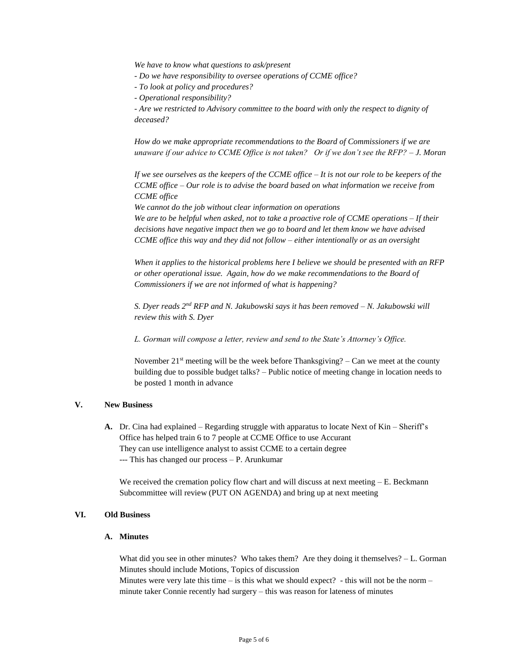*We have to know what questions to ask/present* 

- *- Do we have responsibility to oversee operations of CCME office?*
- *- To look at policy and procedures?*
- *- Operational responsibility?*

*- Are we restricted to Advisory committee to the board with only the respect to dignity of deceased?*

*How do we make appropriate recommendations to the Board of Commissioners if we are unaware if our advice to CCME Office is not taken? Or if we don't see the RFP? – J. Moran* 

*If we see ourselves as the keepers of the CCME office – It is not our role to be keepers of the CCME office – Our role is to advise the board based on what information we receive from CCME office*

*We cannot do the job without clear information on operations* 

*We are to be helpful when asked, not to take a proactive role of CCME operations – If their decisions have negative impact then we go to board and let them know we have advised CCME office this way and they did not follow – either intentionally or as an oversight*

*When it applies to the historical problems here I believe we should be presented with an RFP or other operational issue. Again, how do we make recommendations to the Board of Commissioners if we are not informed of what is happening?*

*S. Dyer reads 2nd RFP and N. Jakubowski says it has been removed – N. Jakubowski will review this with S. Dyer*

*L. Gorman will compose a letter, review and send to the State's Attorney's Office.*

November  $21^{st}$  meeting will be the week before Thanksgiving? – Can we meet at the county building due to possible budget talks? – Public notice of meeting change in location needs to be posted 1 month in advance

#### **V. New Business**

**A.** Dr. Cina had explained – Regarding struggle with apparatus to locate Next of Kin – Sheriff's Office has helped train 6 to 7 people at CCME Office to use Accurant They can use intelligence analyst to assist CCME to a certain degree --- This has changed our process – P. Arunkumar

We received the cremation policy flow chart and will discuss at next meeting  $-E$ . Beckmann Subcommittee will review (PUT ON AGENDA) and bring up at next meeting

#### **VI. Old Business**

#### **A. Minutes**

What did you see in other minutes? Who takes them? Are they doing it themselves?  $-L$ . Gorman Minutes should include Motions, Topics of discussion

Minutes were very late this time – is this what we should expect? - this will not be the norm – minute taker Connie recently had surgery – this was reason for lateness of minutes